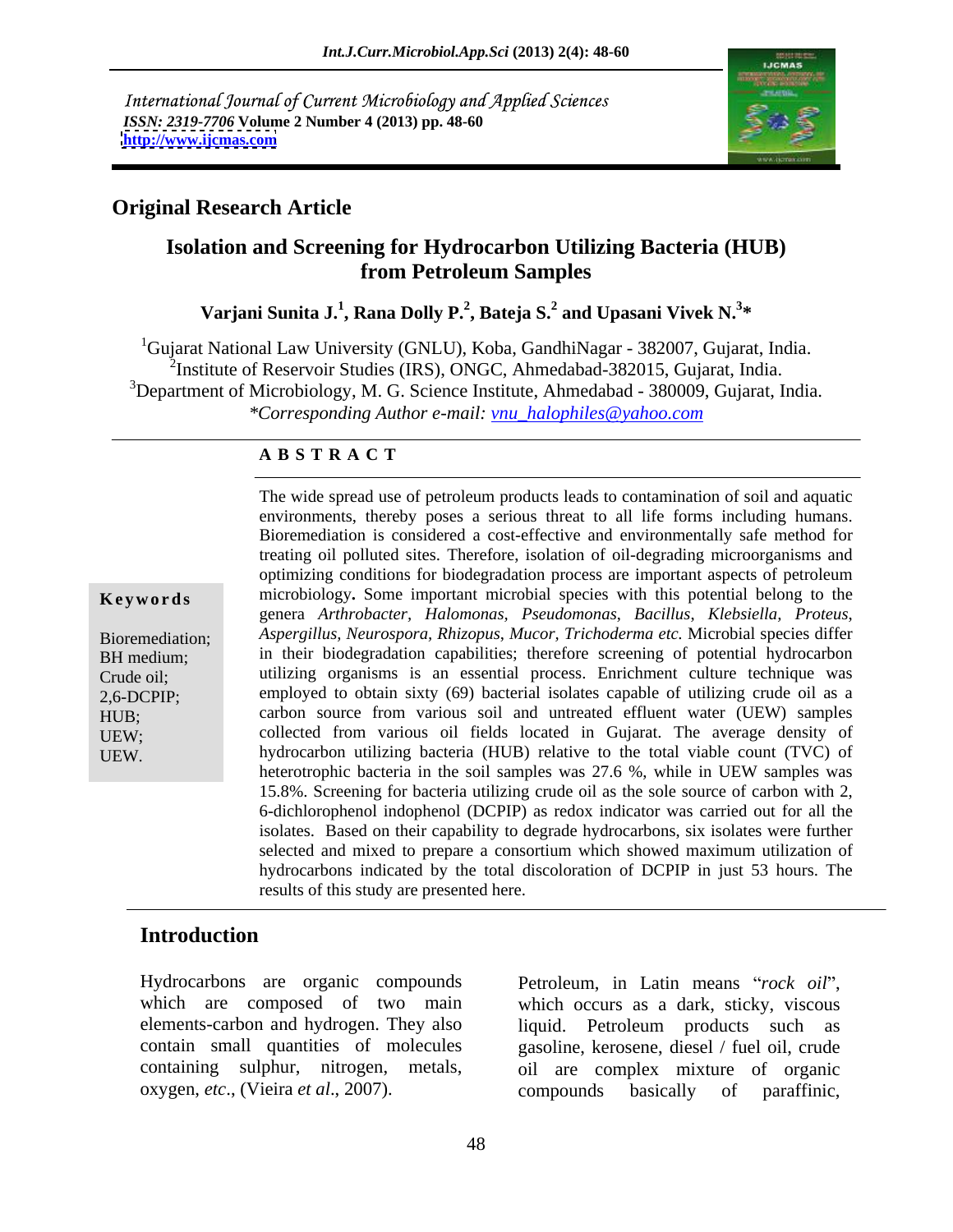International Journal of Current Microbiology and Applied Sciences *ISSN: 2319-7706* **Volume 2 Number 4 (2013) pp. 48-60 <http://www.ijcmas.com>**



### **Original Research Article**

### **Isolation and Screening for Hydrocarbon Utilizing Bacteria (HUB) from Petroleum Samples**

### **Varjani Sunita J.<sup>1</sup> , Rana Dolly P.<sup>2</sup> , Bateja S.<sup>2</sup> and Upasani Vivek N.<sup>3</sup> \***

<sup>1</sup>Gujarat National Law University (GNLU), Koba, GandhiNagar - 382007, Gujarat, India.<br><sup>2</sup>Institute of Reservoir Studies (IRS), ONGC, Ahmedabad-382015, Gujarat, India. <sup>3</sup>Department of Microbiology, M. G. Science Institute, Ahmedabad - 380009, Gujarat, India. *\*Corresponding Author e-mail: vnu\_halophiles@yahoo.com*

### **A B S T R A C T**

**Keywords** microbiology. Some important microbial species with this potential belong to the Bioremediation; *Aspergillus, Neurospora, Rhizopus*, *Mucor, Trichoderma etc.* Microbial species differ BH medium; in their biodegradation capabilities; therefore screening of potential hydrocarbon Crude oil; utilizing organisms is an essential process. Enrichment culture technique was 2,6-DCPIP; employed to obtain sixty (69) bacterial isolates capable of utilizing crude oil as a HUB; carbon source from various soil and untreated effluent water (UEW) samples UEW; collected from various oil fields located in Gujarat. The average density of UEW. hydrocarbon utilizing bacteria (HUB) relative to the total viable count (TVC) of environments, thereby poses a serious threat to all life forms including humans. Bioremediation is considered a cost-effective and environmentally safe method for treating oil polluted sites. Therefore, isolation of oil-degrading microorganisms and optimizing conditions for biodegradation process are important aspects of petroleum genera *Arthrobacter, Halomonas, Pseudomonas*, *Bacillus*, *Klebsiella, Proteus*, heterotrophic bacteria in the soil samples was 27.6 %, while in UEW samples was 15.8%. Screening for bacteria utilizing crude oil as the sole source of carbon with 2, 6-dichlorophenol indophenol (DCPIP) as redox indicator was carried out for all the isolates. Based on their capability to degrade hydrocarbons, six isolates were further selected and mixed to prepare a consortium which showed maximum utilization of hydrocarbons indicated by the total discoloration of DCPIP in just 53 hours. The results of this study are presented here.

The wide spread use of petroleum products leads to contamination of soil and aquatic

## **Introduction**

Hydrocarbons are organic compounds Petroleum, in Latin means "rock oil", which are composed of two main which occurs as a dark, sticky, viscous

elements-carbon and hydrogen. They also liquid. Petroleum products such as contain small quantities of molecules gasoline, kerosene, diesel / fuel oil, crude containing sulphur, nitrogen, metals, oil are complex mixture of organic Hydrocarbons are organic compounds<br>which are composed of two main<br>elements-carbon and hydrogen. They also<br>contain small quantities of molecules<br>containing sulphur, nitrogen, metals, oil are complex mixture of organic<br>oxyge compounds basically of paraffinic,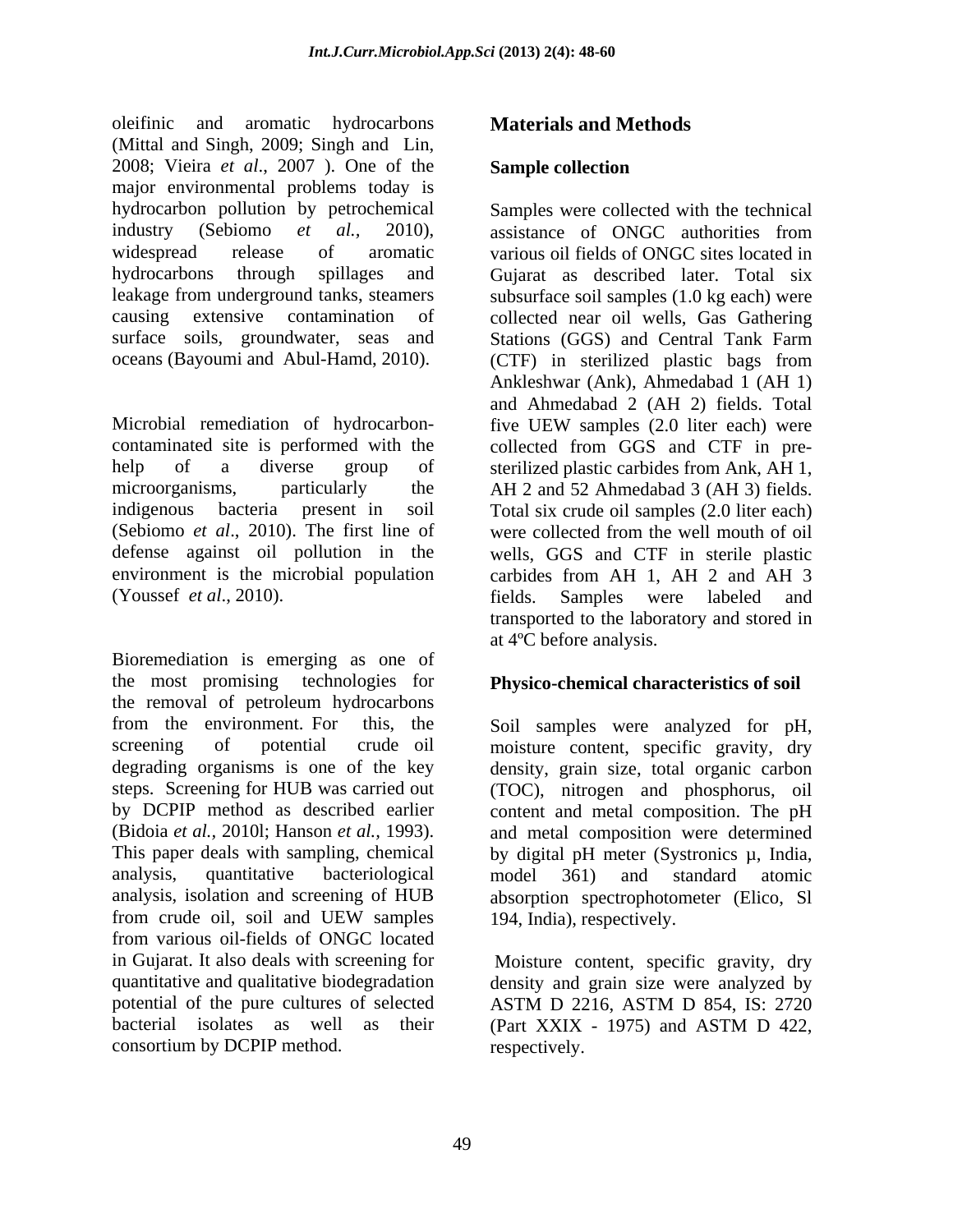oleifinic and aromatic hydrocarbons (Mittal and Singh, 2009; Singh and Lin,<br>2008; Vieira *et al.*, 2007 ). One of the **Sample collection** major environmental problems today is hydrocarbon pollution by petrochemical industry (Sebiomo *et al.,* 2010), surface soils, groundwater, seas and Stations (GGS) and Central Tank Farm

Microbial remediation of hydrocarbon-<br>five UEW samples (2.0 liter each) were contaminated site is performed with the collected from GGS and CTF in pre help of a diverse group of sterilized plastic carbides from Ank, AH 1, microorganisms, particularly the AH 2 and 52 Ahmedabad 3 (AH 3) fields. indigenous bacteria present in soil Total six crude oil samples (2.0 liter each) (Sebiomo *et al*., 2010). The first line of defense against oil pollution in the wells, GGS and CTF in sterile plastic environment is the microbial population carbides from AH 1, AH 2 and AH 3

the most promising technologies for **Physico-chemical characteristics of soil** the removal of petroleum hydrocarbons from the environment. For this, the Soil samples were analyzed for pH, screening of potential crude oil moisture content, specific gravity, dry degrading organisms is one of the key density, grain size, total organic carbon steps. Screening for HUB was carried out (TOC), nitrogen and phosphorus, oil by DCPIP method as described earlier content and metal composition. The pH (Bidoia *et al.,* 2010l; Hanson *et al.,* 1993). and metal composition were determined This paper deals with sampling, chemical by digital pH meter (Systronics µ, India, analysis, quantitative bacteriological analysis, isolation and screening of HUB absorption spectrophotometer (Elico, Sl from crude oil, soil and UEW samples 194, India), respectively. from various oil-fields of ONGC located in Gujarat. It also deals with screening for Moisture content, specific gravity, dry quantitative and qualitative biodegradation density and grain size were analyzed by potential of the pure cultures of selected ASTM D 2216, ASTM D 854, IS: 2720 bacterial isolates as well as their (Part XXIX - 1975) and ASTM D 422, consortium by DCPIP method.

### **Materials and Methods**

### **Sample collection**

widespread release of aromatic various oil fields of ONGC sites located in hydrocarbons through spillages and Gujarat as described later. Total six leakage from underground tanks, steamers subsurface soil samples (1.0 kg each) were causing extensive contamination of collected near oil wells, Gas Gathering oceans (Bayoumi and Abul-Hamd, 2010). (CTF) in sterilized plastic bags from (Youssef *et al.*, 2010). Fields. Samples were labeled and transported to the laboratory and stored in at 4°C before analysis.<br>Bioremediation is emerging as one of Samples were collected with the technical assistance of ONGC authorities from Stations (GGS) and Central Tank Farm Ankleshwar (Ank), Ahmedabad 1 (AH 1) and Ahmedabad 2 (AH 2) fields. Total five UEW samples (2.0 liter each) were were collected from the well mouth of oil fields. Samples were labeled and transported to the laboratory and stored in at 4ºC before analysis.

model 361) and standard atomic 194, India), respectively.

ASTM D 2216, ASTM D 854, IS: 2720 (Part XXIX - 1975) and ASTM D 422, respectively.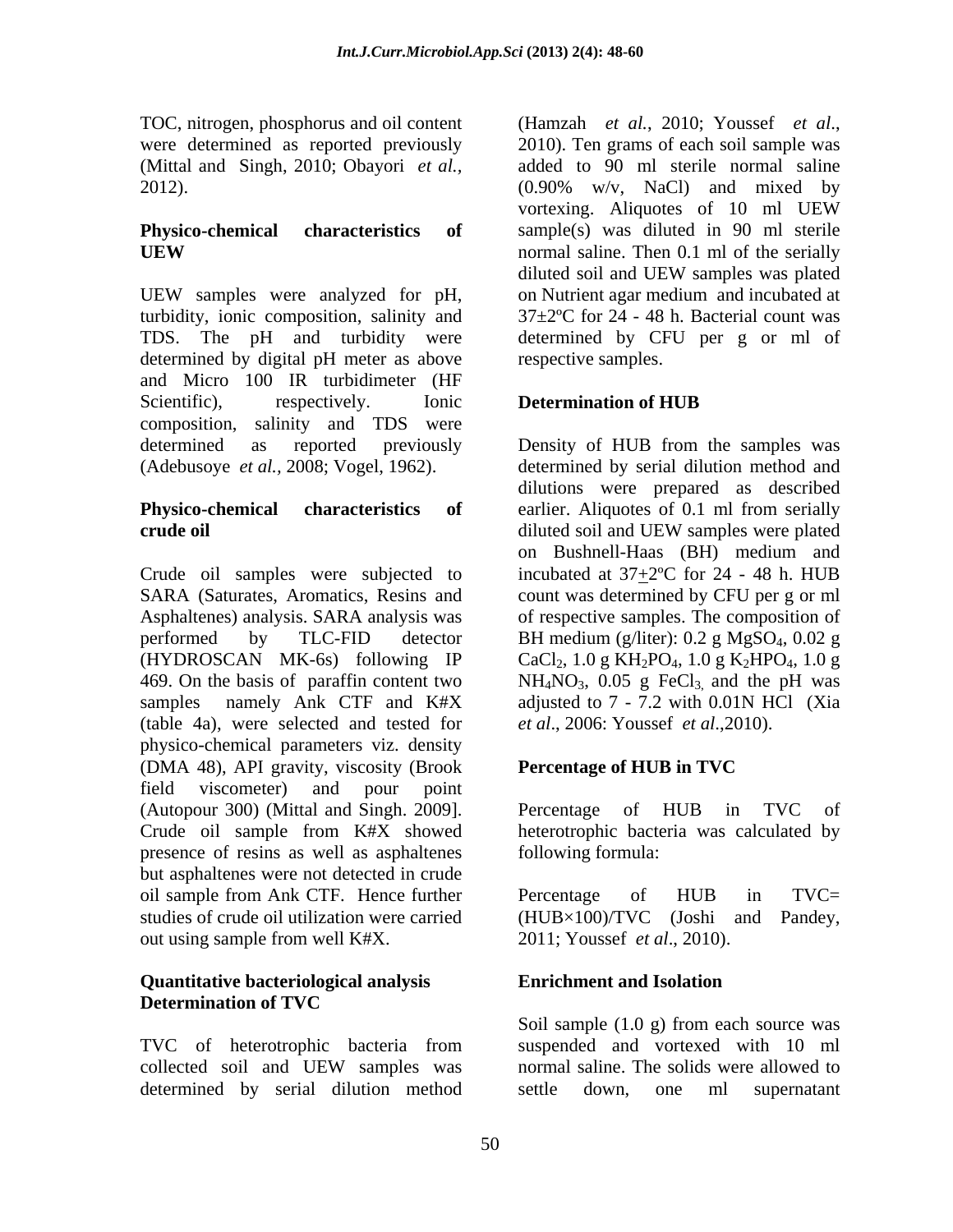TOC, nitrogen, phosphorus and oil content (Hamzah et al., 2010; Youssef et al., were determined as reported previously 2010). Ten grams of each soil sample was 2012).

UEW samples were analyzed for pH, on Nutrient agar medium and incubated at turbidity, ionic composition, salinity and TDS. The pH and turbidity were determined by CFU per g or ml of determined by digital pH meter as above and Micro 100 IR turbidimeter (HF Scientific), respectively. Ionic **Determination of HUB** composition, salinity and TDS were determined as reported previously Density of HUB from the samples was (Adebusoye *et al.,* 2008; Vogel, 1962). determined by serial dilution method and

# **crude oil** diluted soil and UEW samples were plated

Crude oil samples were subjected to incubated at  $37\pm2$ °C for 24 - 48 h. HUB SARA (Saturates, Aromatics, Resins and count was determined by CFU per g or ml Asphaltenes) analysis. SARA analysis was of respective samples. The composition of performed by TLC-FID detector BH medium (g/liter): 0.2 g MgSO<sub>4</sub>, 0.02 g (HYDROSCAN MK-6s) following IP  $CaCl<sub>2</sub>$ , 1.0 g KH<sub>2</sub>PO<sub>4</sub>, 1.0 g K<sub>2</sub>HPO<sub>4</sub>, 1.0 g 469. On the basis of paraffin content two  $NH_4NO_3$ , 0.05 g FeCl<sub>3,</sub> and the pH was samples namely Ank CTF and K#X adjusted to 7 - 7.2 with 0.01N HCl (Xia (table 4a), were selected and tested for physico-chemical parameters viz. density (DMA 48), API gravity, viscosity (Brook Percentage of HUB in TVC field viscometer) and pour point (Autopour 300) (Mittal and Singh. 2009]. Crude oil sample from K#X showed heterotrophic bacteria was calculated by presence of resins as well as asphaltenes but asphaltenes were not detected in crude oil sample from Ank CTF. Hence further studies of crude oil utilization were carried (HUB×100)/TVC (Joshi and Pandey, out using sample from well K#X.

### **Quantitative bacteriological analysis Determination of TVC**

determined by serial dilution method settle down, one ml supernatant

(Mittal and Singh, 2010; Obayori *et al.,* added to 90 ml sterile normal saline **Physico-chemical characteristics of** sample(s) was diluted in 90 ml sterile **UEW** normal saline. Then 0.1 ml of the serially (Hamzah *et al.*, 2010; Youssef *et al*., 2010). Ten grams of each soil sample was (0.90% w/v, NaCl) and mixed by vortexing. Aliquotes of 10 ml UEW normal saline. Then 0.1 ml of the serially diluted soil and UEW samples was plated on Nutrient agar medium and incubated at 37±2ºC for 24 - 48 h. Bacterial count was respective samples.

### **Determination of HUB**

**Physico-chemical characteristics of** earlier. Aliquotes of 0.1 ml from serially dilutions were prepared as described diluted soil and UEW samples were plated on Bushnell-Haas (BH) medium and *et al*., 2006: Youssef *et al*.,2010).

### **Percentage of HUB in TVC**

Percentage of HUB in TVC of following formula:

Percentage of HUB in TVC= 2011; Youssef *et al*., 2010).

### **Enrichment and Isolation**

TVC of heterotrophic bacteria from suspended and vortexed with 10 ml collected soil and UEW samples was Soil sample (1.0 g) from each source was suspended and vortexed with 10 ml normal saline. The solids were allowed to settle down, one ml supernatant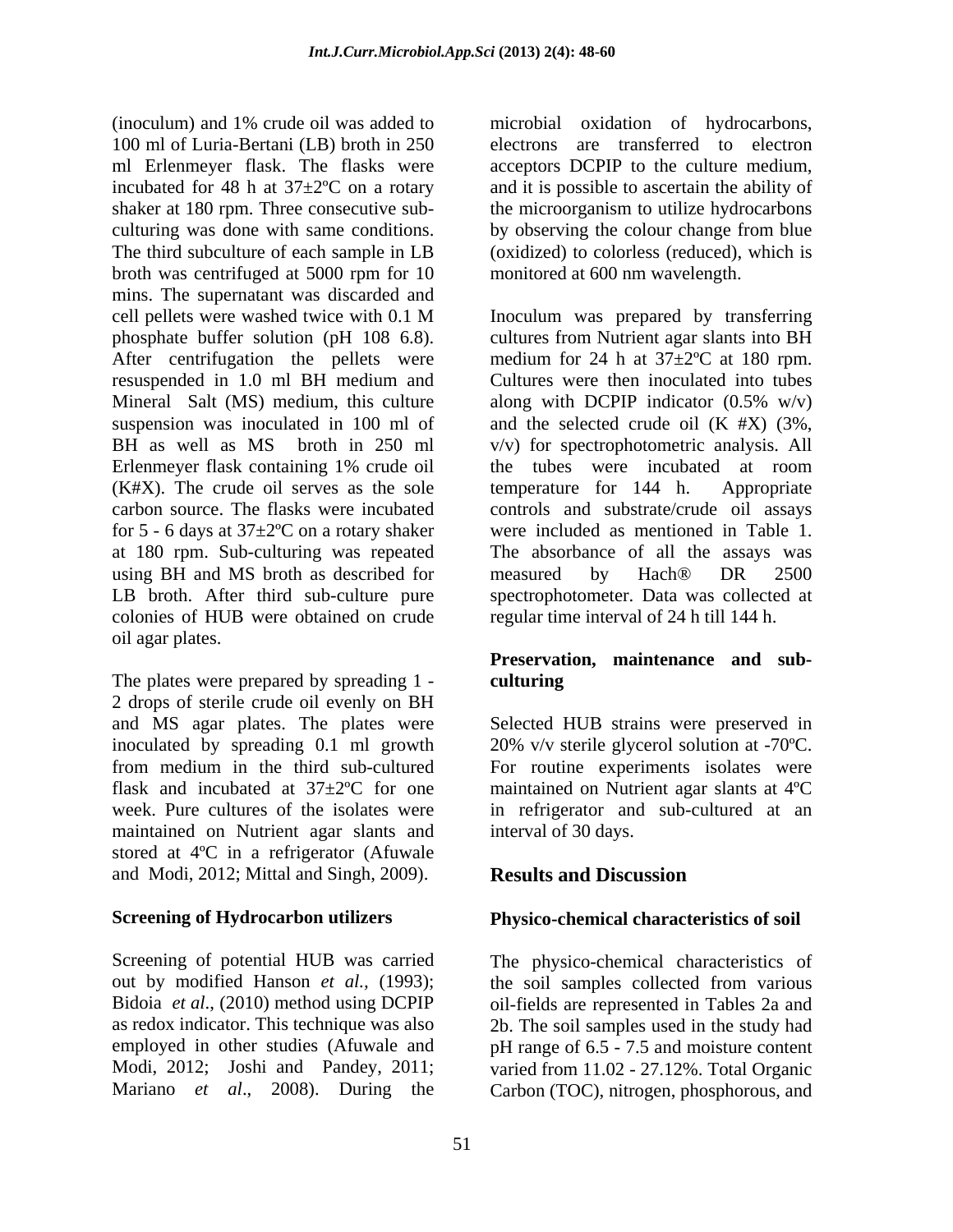(inoculum) and 1% crude oil was added to microbial oxidation of hydrocarbons, 100 ml of Luria-Bertani (LB) broth in 250 electrons are transferred to electron ml Erlenmeyer flask. The flasks were incubated for 48 h at 37±2ºC on a rotary and it is possible to ascertain the ability of shaker at 180 rpm. Three consecutive sub-<br>the microorganism to utilize hydrocarbons culturing was done with same conditions. by observing the colour change from blue The third subculture of each sample in LB (oxidized) to colorless (reduced), which is broth was centrifuged at 5000 rpm for 10 mins. The supernatant was discarded and cell pellets were washed twice with 0.1 M phosphate buffer solution (pH 108 6.8). cultures from Nutrient agar slants into BH After centrifugation the pellets were resuspended in 1.0 ml BH medium and Mineral Salt (MS) medium, this culture along with DCPIP indicator (0.5% w/v) suspension was inoculated in 100 ml of and the selected crude oil (K #X) (3%, BH as well as MS broth in 250 ml v/v) for spectrophotometric analysis. All Erlenmeyer flask containing 1% crude oil the tubes were incubated at room  $(K#X)$ . The crude oil serves as the sole temperature for 144 h. Appropriate carbon source. The flasks were incubated controls and substrate/crude oil assays for 5 - 6 days at  $37 \pm 2$ °C on a rotary shaker at 180 rpm. Sub-culturing was repeated using BH and MS broth as described for measured by Hach<sup>®</sup> DR 2500 LB broth. After third sub-culture pure spectrophotometer. Data was collected at colonies of HUB were obtained on crude oil agar plates.

The plates were prepared by spreading 1 - culturing 2 drops of sterile crude oil evenly on BH and MS agar plates. The plates were Selected HUB strains were preserved in inoculated by spreading 0.1 ml growth 20% v/v sterile glycerol solution at -70ºC. from medium in the third sub-cultured For routine experiments isolates were flask and incubated at 37±2ºC for one maintained on Nutrient agar slants at 4ºC week. Pure cultures of the isolates were in refrigerator and sub-cultured at an maintained on Nutrient agar slants and stored at 4ºC in a refrigerator (Afuwale and Modi, 2012; Mittal and Singh, 2009). **Results and Discussion** 

Screening of potential HUB was carried The physico-chemical characteristics of out by modified Hanson *et al.,* (1993); the soil samples collected from various Bidoia *et al.*, (2010) method using DCPIP oil-fields are represented in Tables 2a and as redox indicator. This technique was also 2b. The soil samples used in the study had employed in other studies (Afuwale and pH range of 6.5 - 7.5 and moisture content Modi, 2012; Joshi and Pandey, 2011; varied from 11.02 - 27.12%. Total Organic

acceptors DCPIP to the culture medium, monitored at 600 nm wavelength.

Inoculum was prepared by transferring medium for 24 h at 37±2ºC at 180 rpm. Cultures were then inoculated into tubes the tubes were incubated at room temperature for  $144$  h. were included as mentioned in Table 1. The absorbance of all the assays was measured by Hach® DR 2500 regular time interval of 24 h till 144 h.

### **Preservation, maintenance and sub culturing**

interval of 30 days.

### **Results and Discussion**

### **Screening of Hydrocarbon utilizers Physico-chemical characteristics of soil**

Mariano *et al*., 2008). During the Carbon (TOC), nitrogen, phosphorous, and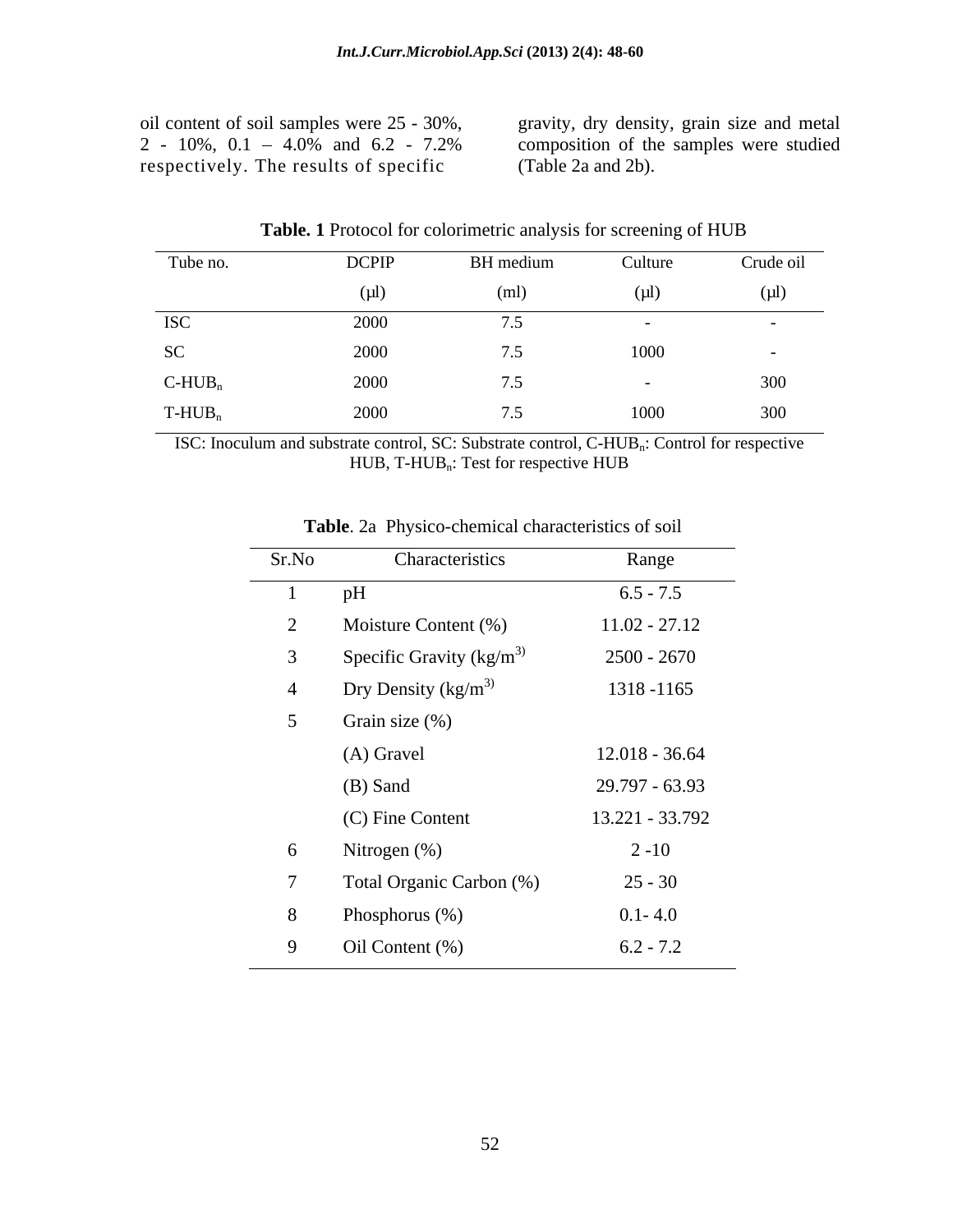respectively. The results of specific

L

oil content of soil samples were 25 - 30%, gravity, dry density, grain size and metal 2 - 10%, 0.1 4.0% and 6.2 - 7.2% composition of the samples were studied (Table 2a and 2b).

| Tube no.              | <b>DCPIP</b> | BH medium                         | Culture | Crude oil |
|-----------------------|--------------|-----------------------------------|---------|-----------|
|                       | $(\mu l)$    | (ml)                              | (µl)    | $(\mu l)$ |
| <b>ISC</b>            | 2000         |                                   |         |           |
| SC                    | 2000         | $\cdot$ $\cdot$                   | 1000    | $\sim$    |
| $C$ -HUB <sub>n</sub> | 2000         |                                   |         | 300       |
| $T-HUB_n$             | 2000         | 7 <sup>5</sup><br>$\cdot$ $\cdot$ | 1000    | 300       |

**Table. 1** Protocol for colorimetric analysis for screening of HUB

ISC: Inoculum and substrate control, SC: Substrate control, C-HUB<sub>n</sub>: Control for respective HUB, T-HUB<sub>n</sub>: Test for respective HUB

| Sr.No          | Characteristics                   | Range            |
|----------------|-----------------------------------|------------------|
|                | pH                                | $6.5 - 7.5$      |
| $\overline{2}$ | Moisture Content (%)              | $11.02 - 27.12$  |
| $\mathbf{3}$   | Specific Gravity $\frac{kg}{m^3}$ | $2500 - 2670$    |
| $\overline{4}$ | Dry Density ( $\text{kg/m}^3$ )   | 1318 - 1165      |
| 5 <sup>5</sup> | Grain size (%)                    |                  |
|                | (A) Gravel                        | $12.018 - 36.64$ |
|                | (B) Sand                          | 29.797 - 63.93   |
|                | (C) Fine Content                  | 13.221 - 33.792  |
| 6              | Nitrogen (%)                      | $2 - 10$         |
|                | Total Organic Carbon (%)          | $25 - 30$        |
| 8              | Phosphorus (%)                    | $0.1 - 4.0$      |
| 9              | Oil Content (%)                   | $6.2 - 7.2$      |

**Table**. 2a Physico-chemical characteristics of soil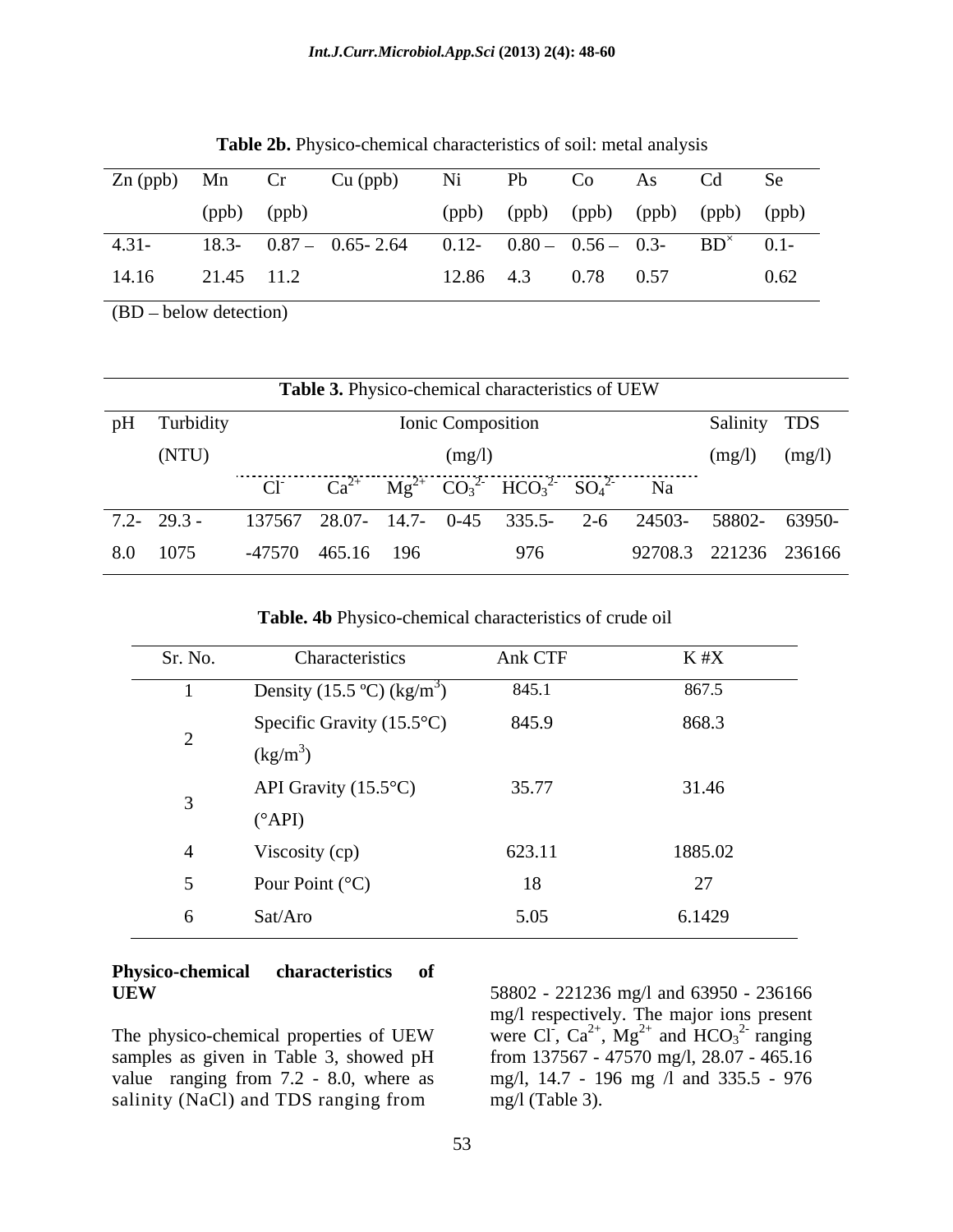| $Zn$ (ppb) Mn |            | Cr          | Cu (ppb) Ni Pb Co As Cd Se                                                 |           |      |      |                                     |
|---------------|------------|-------------|----------------------------------------------------------------------------|-----------|------|------|-------------------------------------|
|               |            | (ppb) (ppb) |                                                                            |           |      |      | (ppb) (ppb) (ppb) (ppb) (ppb) (ppb) |
|               |            |             | 4.31- 18.3- 0.87 - 0.65-2.64 0.12- 0.80 - 0.56 - 0.3- BD <sup>x</sup> 0.1- |           |      |      |                                     |
| 14.16         | 21.45 11.2 |             |                                                                            | 12.86 4.3 | 0.78 | 0.57 | 0.62                                |

**Table 2b.** Physico-chemical characteristics of soil: metal analysis

 $(BD - below detection)$ 

|              | Table 3. Physico-chemical characteristics of UEW              |                          |                       |                   |
|--------------|---------------------------------------------------------------|--------------------------|-----------------------|-------------------|
| pH Turbidity |                                                               | <b>Ionic Composition</b> |                       | Salinity TDS      |
| (NTU)        |                                                               |                          |                       | $(mg/l)$ $(mg/l)$ |
|              | Cl $Ca^{2+} Mg^{2+} CO_3^{2-} HCO_3^{2-} SO_4^{2-} Na$        |                          |                       |                   |
|              | 7.2 29.3 - 137567 28.07 14.7 0-45 335.5 2-6 24503 58802 63950 |                          |                       |                   |
| 8.0 1075     | -47570 465.16 196                                             |                          | 92708.3 221236 236166 |                   |

**Table. 4b** Physico-chemical characteristics of crude oil

| Sr. No. | Characteristics                        | Ank CTF | $K \# X$ |
|---------|----------------------------------------|---------|----------|
|         | Density (15.5 °C) (kg/m <sup>3</sup> ) | 845.1   | 867.5    |
|         | Specific Gravity $(15.5^{\circ}C)$     | 845.9   | 868.3    |
|         | $(kg/m^3)$                             |         |          |
|         | API Gravity $(15.5^{\circ}C)$          | 35.77   | 31.46    |
|         | $(^{\circ}API)$                        |         |          |
|         | Viscosity (cp)                         | 623.11  | 1885.02  |
|         | Pour Point $({}^{\circ}C)$             | 18      | 27       |
|         | Sat/Aro                                | 5.05    | 6.1429   |

## **Physico-chemical characteristics of**

samples as given in Table 3, showed pH salinity (NaCl) and TDS ranging from

**UEW** 58802 - 221236 mg/l and 63950 - 236166 The physico-chemical properties of UEW were CI,  $Ca^{2+}$ ,  $Mg^{2+}$  and  $HCO_3^{2-}$  ranging value ranging from 7.2 - 8.0, where as mg/l, 14.7 - 196 mg /l and 335.5 - 976 58802 - 221236 mg/l and 63950 - 236166 mg/l respectively. The major ions present were Cl,  $Ca^{2+}$ ,  $Mg^{2+}$  and  $HCO<sub>3</sub><sup>2-</sup>$  ranging  $^{2+}$  and HCO  $^{2-}$  repairs and  $HCO<sub>3</sub><sup>2</sup>$  ranging  $2 - \frac{1}{2}$ ranging from 137567 - 47570 mg/l, 28.07 - 465.16 mg/l (Table 3).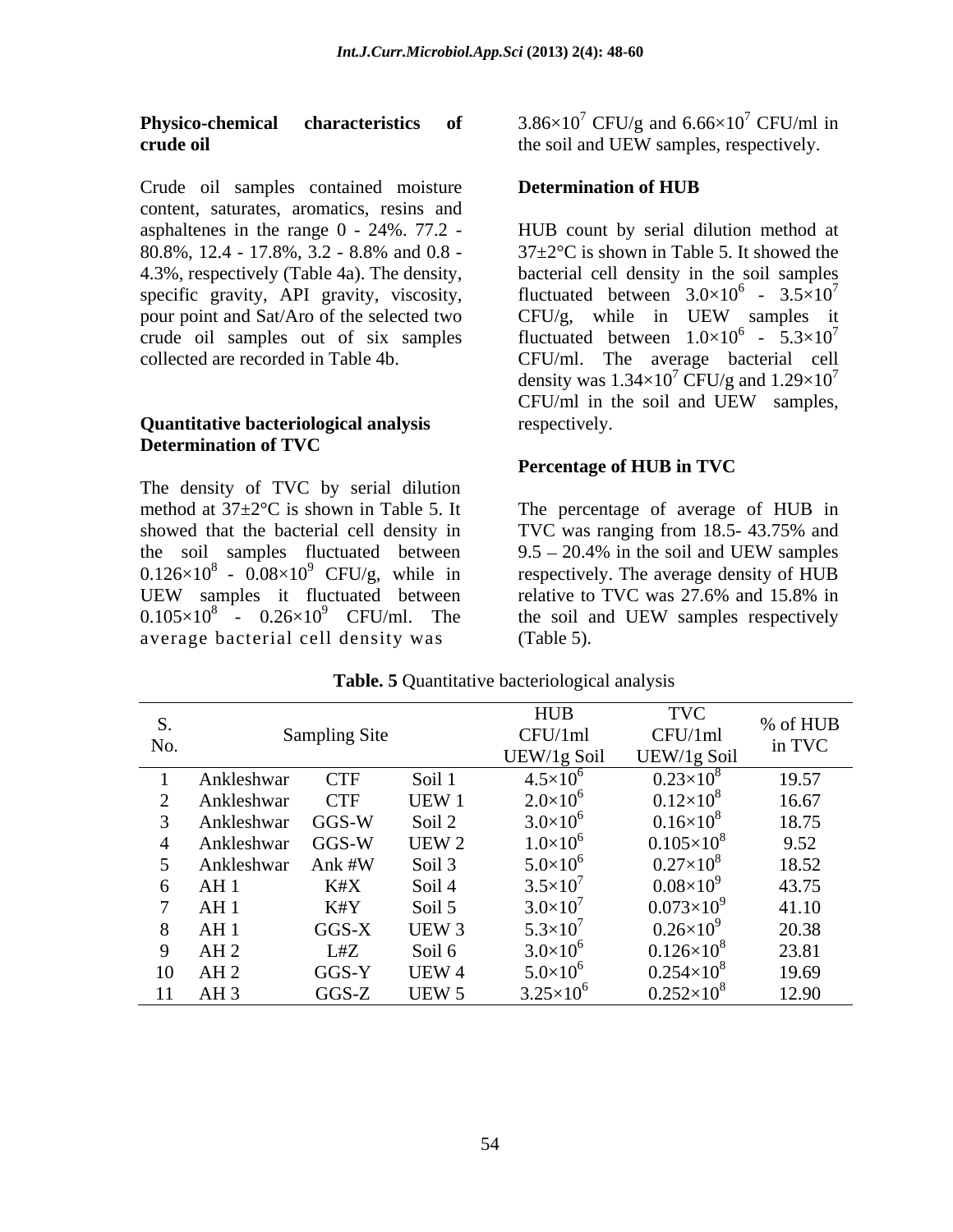## **crude oil** the soil and UEW samples, respectively.

Crude oil samples contained moisture **Determination of HUB** content, saturates, aromatics, resins and asphaltenes in the range 0 - 24%. 77.2 pour point and Sat/Aro of the selected two CFU/g, while in UEW samples it

### **Quantitative bacteriological analysis Determination of TVC**

The density of TVC by serial dilution showed that the bacterial cell density in TVC was ranging from 18.5-43.75% and the soil samples fluctuated between  $9.5 - 20.4\%$  in the soil and UEW samples  $0.126 \times 10^8$  -  $0.08 \times 10^9$  CFU/g, while in  $0.105 \times 10^8$  -  $0.26 \times 10^9$  CFU/ml. The the soil and UEW samples respectively average bacterial cell density was

**Physico-chemical characteristics of** 3.86×10<sup>7</sup> CFU/g and 6.66×10<sup>7</sup> CFU/ml in <sup>7</sup> CFU/ml in

### **Determination of HUB**

80.8%, 12.4 - 17.8%, 3.2 - 8.8% and 0.8 -  $37 \pm 2^{\circ}$ C is shown in Table 5. It showed the 4.3%, respectively (Table 4a). The density, bacterial cell density in the soil samples specific gravity, API gravity, viscosity, fluctuated between  $3.0\times10^6$  -  $3.5\times10^7$ crude oil samples out of six samples fluctuated between  $1.0\times10^6$  -  $5.3\times10^7$ collected are recorded in Table 4b. CFU/ml. The average bacterial cell HUB count by serial dilution method at 37±2°C is shown in Table 5. It showed the 7  $CFU/g$ , while in UEW samples it density was  $1.34\times10^7$  CFU/g and  $1.29\times10^7$ CFU/g and  $1.29\times10^7$ CFU/ml in the soil and UEW samples, respectively.

### **Percentage of HUB in TVC**

method at  $37 \pm 2^{\circ}$ C is shown in Table 5. It The percentage of average of HUB in  $9$  CFU/g, while in respectively. The average density of HUB UEW samples it fluctuated between relative to TVC was 27.6% and 15.8% in TVC was ranging from 18.5- 43.75% and  $9.5 - 20.4\%$  in the soil and UEW samples relative to TVC was 27.6% and 15.8% in the soil and UEW samples respectively (Table 5).

|     |                 |               |            | HUB                 | <b>TVC</b>           | % of HUB |
|-----|-----------------|---------------|------------|---------------------|----------------------|----------|
| No. |                 | Sampling Site |            | CFU/1ml             | CFU/1ml              | in TVC   |
|     |                 |               |            | UEW/1g Soil         | UEW/1g Soil          |          |
|     | Ankleshwar      | <b>CTF</b>    | Soil 1     | $4.5 \times 10^{6}$ | $0.23\times10$       | 19.57    |
|     | Ankleshwar      | <b>CTF</b>    | <b>UEW</b> | $2.0\times10^{6}$   | $0.12\times10$       | 16.67    |
|     | Ankleshwar      | $GGS-W$       | Soil 2     | $3.0\times10^{6}$   | $0.16\times10^{8}$   | 18.75    |
|     | Ankleshwar      | $GGS-W$       | UEW ^      | $1.0\times10^{6}$   | $0.105\times10^{8}$  | 9.52     |
|     | Ankleshwar      | Ank #W        | Soil 3     | $5.0 \times 10^6$   | $0.27\times10^{8}$   | 18.52    |
|     | AH 1            | K#X           | Soil 4     | $3.5\times10^{7}$   | $0.08\times10^{9}$   | 43.75    |
|     | AH <sub>1</sub> | K#Y           | Soil 5     | $3.0\times10^{7}$   | $0.073\times10^{9}$  | 41.10    |
|     | AH <sub>1</sub> | GGS-X         | UEW 3      | $5.3\times10^{7}$   | $0.26 \times 10^{9}$ | 20.38    |
|     | AH2             | L#Z           | Soil 6     | $3.0\times10^6$     | $0.126\times10^{8}$  | 23.81    |
|     | 10 AH 2         | GGS-Y         | UEW 4      | $5.0 \times 10^{6}$ | $0.254\times10^{8}$  | 19.69    |
|     | 11 AH 3         | $GGS-Z$       | UEW :      | $3.25\times10^6$    | $0.252\times10^{8}$  | 12.90    |

**Table. 5** Quantitative bacteriological analysis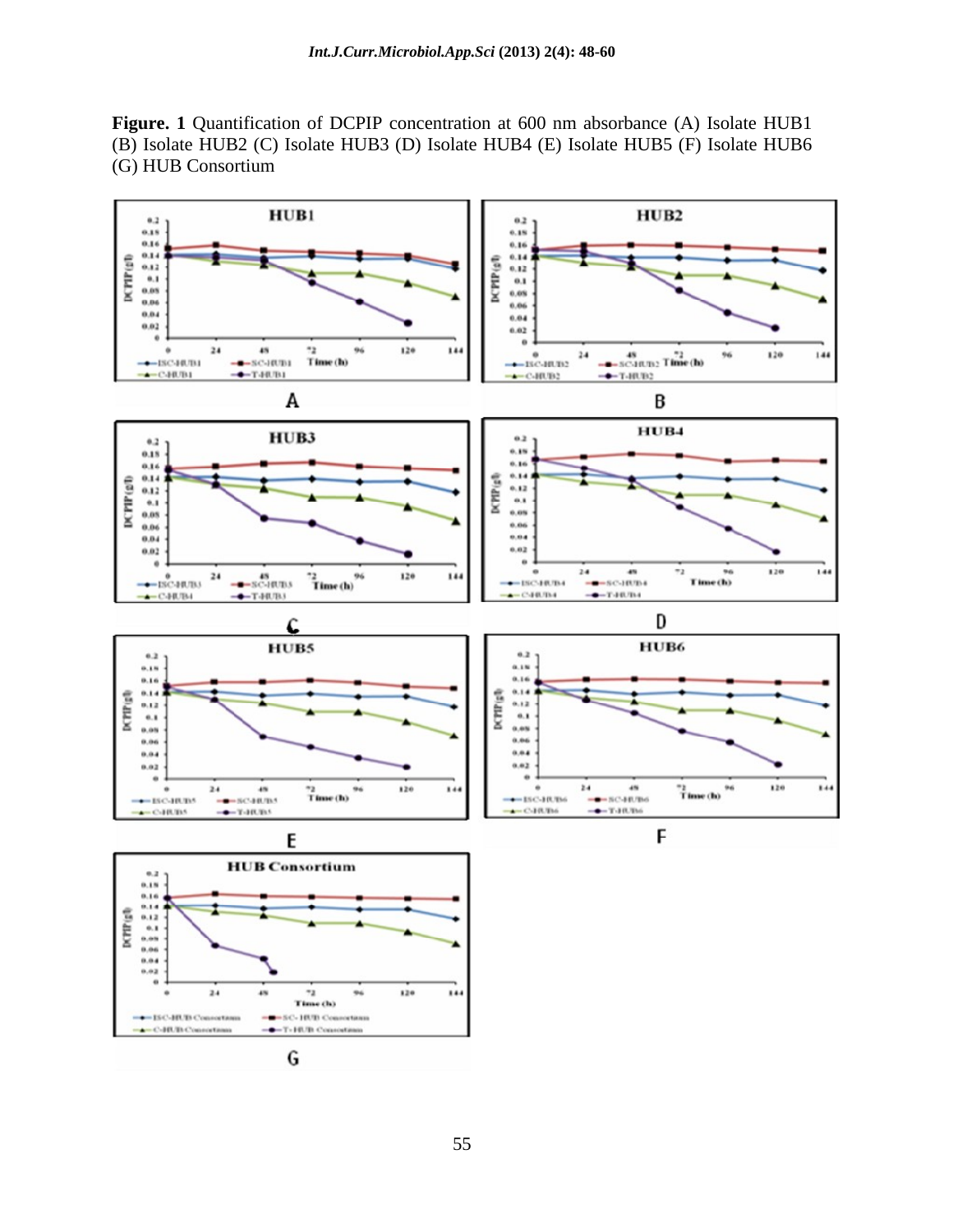**Figure. 1** Quantification of DCPIP concentration at 600 nm absorbance(A) Isolate HUB1 (B) Isolate HUB2 (C) Isolate HUB3 (D) Isolate HUB4 (E) Isolate HUB5 (F) Isolate HUB6 (G) HUB Consortium

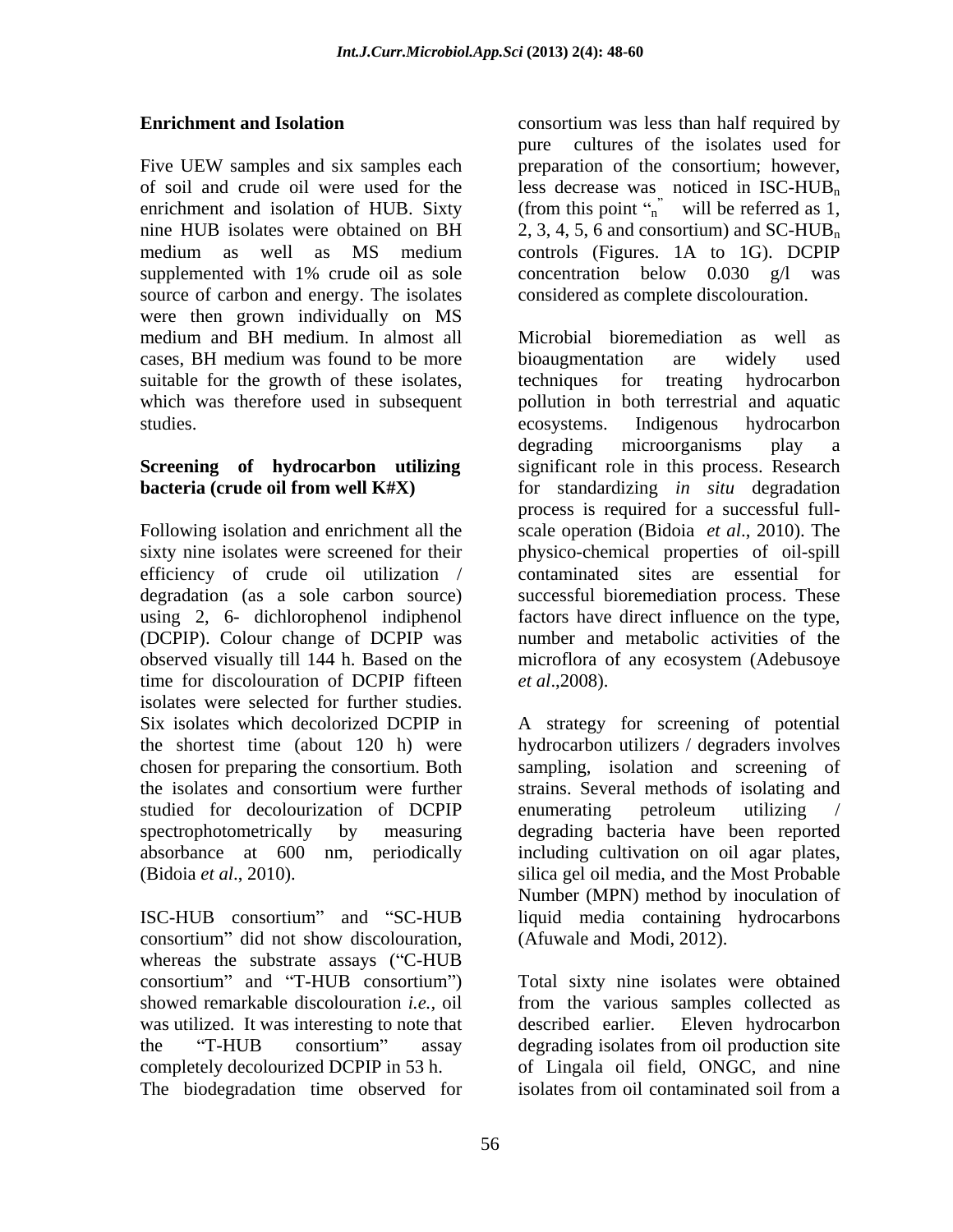Five UEW samples and six samples each preparation of the consortium; however, of soil and crude oil were used for the less decrease was noticed in  $ISC-HUB_n$ enrichment and isolation of HUB. Sixty (from this point  $\int_{n}^{\infty}$  will be referred as 1, nine HUB isolates were obtained on BH  $\qquad \quad 2, 3, 4, 5, 6$  and consortium) and SC-HUB<sub>n</sub> medium as well as MS medium supplemented with 1% crude oil as sole source of carbon and energy. The isolates were then grown individually on MS medium and BH medium. In almost all suitable for the growth of these isolates, techniques for treating hydrocarbon which was therefore used in subsequent studies. The example of the exponential contracts are exponentially ecosystems. Indigenous hydrocarbon

efficiency of crude oil utilization / degradation (as a sole carbon source) using 2, 6- dichlorophenol indiphenol factors have direct influence on the type, (DCPIP). Colour change of DCPIP was time for discolouration of DCPIP fifteen *et al.*, 2008). isolates were selected for further studies. Six isolates which decolorized DCPIP in A strategy for screening of potential studied for decolourization of DCPIP

consortium" did not show discolouration, whereas the substrate assays ("C-HUB" showed remarkable discolouration *i.e.,* oil was utilized. It was interesting to note that described earlier. Eleven hydrocarbon

**Enrichment and Isolation consortium** was less than half required by pure cultures of the isolates used for preparation of the consortium; however, controls (Figures. 1A to 1G). DCPIP concentration below 0.030 g/l was considered as complete discolouration.

cases, BH medium was found to be more bioaugmentation are widely used **Screening of hydrocarbon utilizing**  significant role in this process. Research **bacteria (crude oil from well K#X)** for standardizing *in situ* degradation Following isolation and enrichment all the scale operation (Bidoia *et al*., 2010). The sixty nine isolates were screened for their physico-chemical properties of oil-spill observed visually till 144 h. Based on the microflora of any ecosystem (Adebusoye Microbial bioremediation as well as bioaugmentation are widely used techniques for treating hydrocarbon pollution in both terrestrial and aquatic ecosystems. Indigenous hydrocarbon degrading microorganisms play a process is required for a successful full contaminated sites are essential for successful bioremediation process. These factors have direct influence on the type, number and metabolic activities of the

the shortest time (about 120 h) were hydrocarbon utilizers / degraders involves chosen for preparing the consortium. Both sampling, isolation and screening of the isolates and consortium were further strains. Several methods of isolating and spectrophotometrically by measuring degrading bacteria have been reported absorbance at 600 nm, periodically including cultivation on oil agar plates, (Bidoia *et al*., 2010). silica gel oil media, and the Most Probable ISC-HUB consortium" and "SC-HUB liquid media containing hydrocarbons *et al*.,2008). A strategy for screening of potential enumerating petroleum utilizing / Number (MPN) method by inoculation of (Afuwale and Modi, 2012).

consortium" and "T-HUB consortium") Total sixty nine isolates were obtained the "T-HUB consortium" assay degrading isolates from oil production site completely decolourized DCPIP in 53 h. of Lingala oil field, ONGC, and nine The biodegradation time observed for isolates from oil contaminated soil from a from the various samples collected as described earlier. Eleven hydrocarbon isolates from oil contaminated soil from a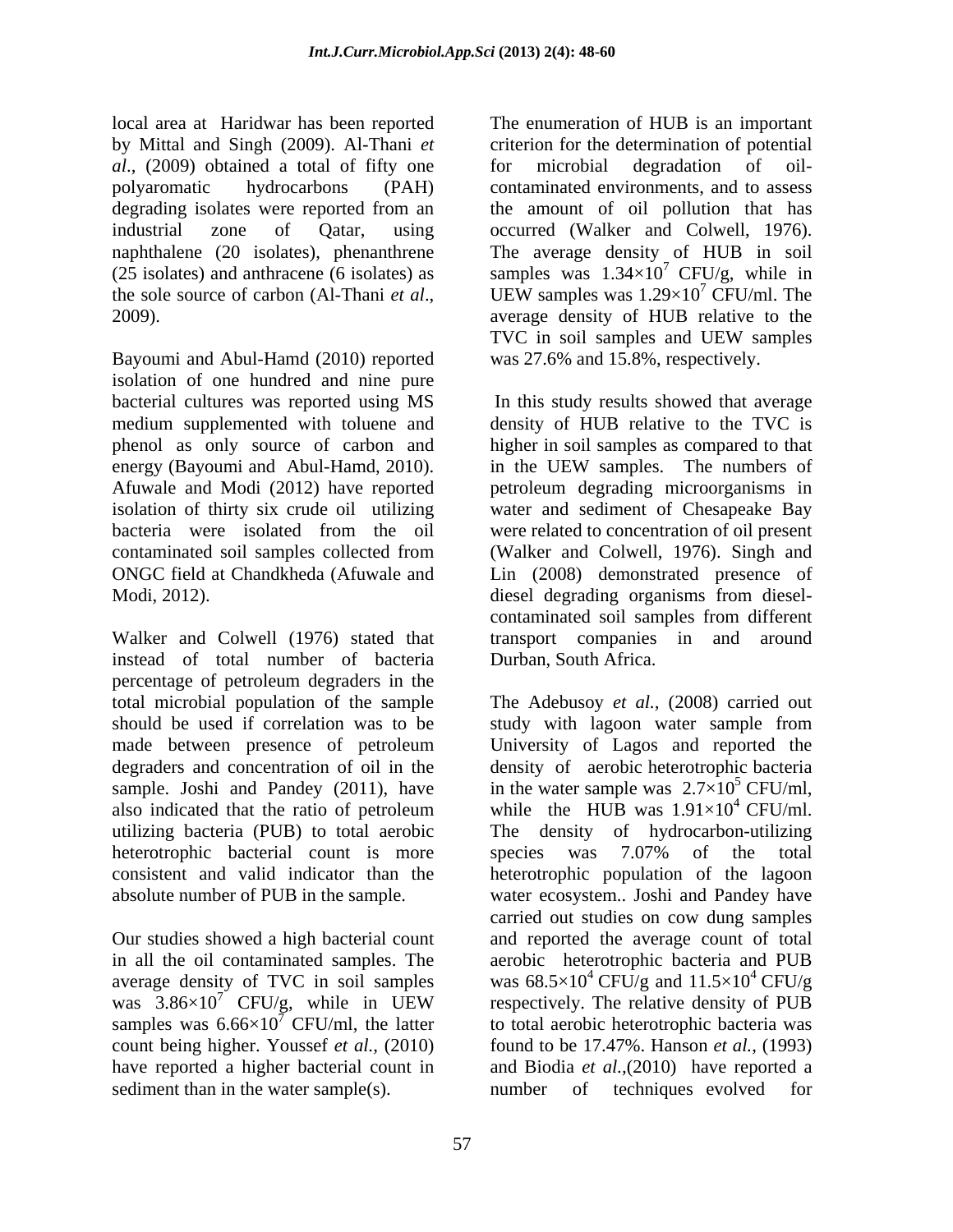local area at Haridwar has been reported *al*., (2009) obtained a total of fifty one industrial zone of Qatar, using occurred (Walker and Colwell, 1976). naphthalene (20 isolates), phenanthrene The average density of HUB in soil the sole source of carbon (Al-Thani *et al.*, UEW samples was  $1.29 \times 10^7$  CFU/ml. The

isolation of one hundred and nine pure bacterial cultures was reported using MS energy (Bayoumi and Abul-Hamd, 2010). in the UEW samples. The numbers of

instead of total number of bacteria percentage of petroleum degraders in the total microbial population of the sample The Adebusoy *et al.,* (2008) carried out should be used if correlation was to be study with lagoon water sample from made between presence of petroleum University of Lagos and reported the degraders and concentration of oil in the density of aerobic heterotrophic bacteria sample. Joshi and Pandey (2011), have in the water sample was  $2.7\times10^5$  CFU/ml, also indicated that the ratio of petroleum while the HUB was  $1.91 \times 10^4$  CFU/ml. utilizing bacteria (PUB) to total aerobic heterotrophic bacterial count is more species was 7.07% of the total consistent and valid indicator than the heterotrophic population of the lagoon

average density of TVC in soil samples was  $3.86 \times 10^{7}$  CFU/g, while in UEW samples was  $6.66 \times 10^7$  CFU/ml, the latter

by Mittal and Singh (2009). Al-Thani *et*  criterion for the determination of potential polyaromatic hydrocarbons (PAH) contaminated environments, and to assess degrading isolates were reported from an the amount of oil pollution that has (25 isolates) and anthracene (6 isolates) as samples was  $1.34\times10^{7}$  CFU/g, while in 2009).<br>
2009). average density of HUB relative to the<br>
TVC in soil samples and UEW samples<br>
Bayoumi and Abul-Hamd (2010) reported was 27.6% and 15.8%, respectively. for microbial degradation of oil the amount of oil pollution that has occurred (Walker and Colwell, 1976). The average density of HUB in soil  $7$  CFU/g, while in UEW samples was  $1.29\times10'$  CFU/ml. The  $^7$  CFU/ml. The average density of HUB relative to the TVC in soil samples and UEW samples was 27.6% and 15.8%, respectively.

medium supplemented with toluene and density of HUB relative to the TVC is phenol as only source of carbon and higher in soil samples as compared to that Afuwale and Modi (2012) have reported petroleum degrading microorganisms in isolation of thirty six crude oil utilizing water and sediment of Chesapeake Bay bacteria were isolated from the oil were related to concentration of oil present contaminated soil samples collected from (Walker and Colwell, 1976). Singh and ONGC field at Chandkheda (Afuwale and Lin (2008) demonstrated presence of Modi, 2012). Modi, 2012). Modi, 2012). Modi, 2012). Modi, 2012). Modi, 2012<br>Colwell (1976) stated that transport companies in and around In this study results showed that average in the UEW samples. The numbers of diesel degrading organisms from diesel contaminated soil samples from different transport companies in and around Durban, South Africa.

absolute number of PUB in the sample. water ecosystem.. Joshi and Pandey have Our studies showed a high bacterial count and reported the average count of total in all the oil contaminated samples. The aerobic heterotrophic bacteria and PUB  $7^{\circ}$  CFU/g, while in UEW respectively. The relative density of PUB count being higher. Youssef *et al.,* (2010) found to be 17.47%. Hanson *et al.*, (1993) have reported a higher bacterial count in and Biodia *et al.,*(2010) have reported a Sedimental of the rest in the enumeration of HUB is an important of the enumeration of the enumeration of the sample of the sample of the sample of the sample of the sample of the sample of the sample of the sample of the University of Lagos and reported the  $4$  CFU/ml. The density of hydrocarbon-utilizing species was 7.07% of the total carried out studies on cow dung samples was 68.5×10<sup>4</sup> CFU/g and  $11.5\times10^4$  CFU/g  $4$  CFU/g respectively. The relative density of PUB to total aerobic heterotrophic bacteria was number of techniques evolved for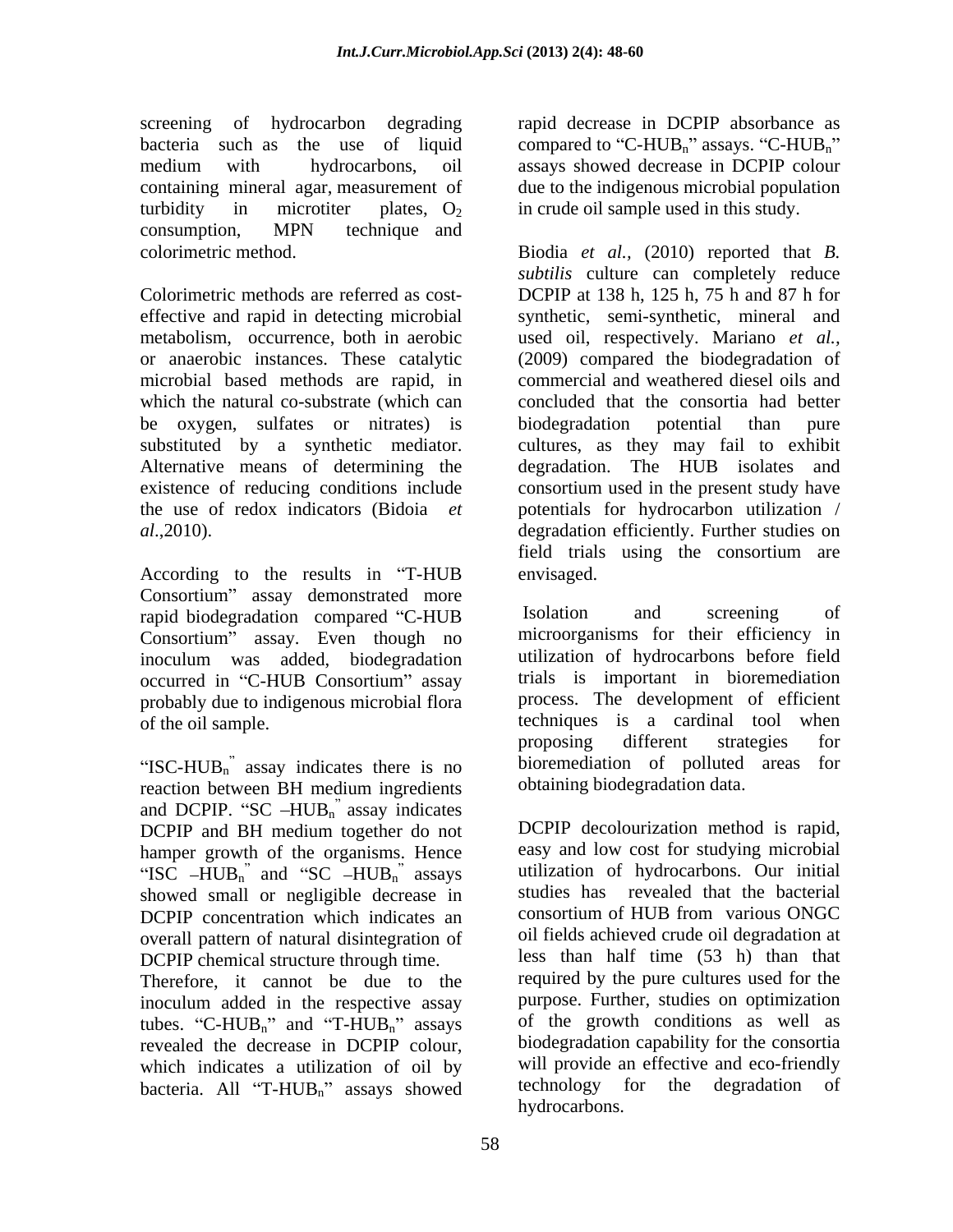screening of hydrocarbon degrading rapid decrease in DCPIP absorbance as bacteria such as the use of liquid compared to "C-HUB<sub>n</sub>" assays. "C-HUB<sub>n</sub>" medium with hydrocarbons, oil assays showed decrease in DCPIP colour containing mineral agar, measurement of due to the indigenous microbial population turbidity in microtiter plates,  $O_2$  in crude oil sample used in this study. consumption, MPN technique and

or anaerobic instances. These catalytic microbial based methods are rapid, in which the natural co-substrate (which can be oxygen, sulfates or nitrates) is the use of redox indicators (Bidoia *et* 

According to the results in "T-HUB envisaged. Consortium" assay demonstrated more rapid biodegradation compared "C-HUB Isolation and screening of Consortium" assay. Even though no occurred in "C-HUB Consortium" assay probably due to indigenous microbial flora

"ISC-HUB $_{n}$ " assay indicates there is no reaction between BH medium ingredients and DCPIP. "SC  $-HUB_n$ " assay indicates DCPIP and BH medium together do not hamper growth of the organisms. Hence "ISC  $-HUB_n$ " and "SC  $-HUB_n$ " assays showed small or negligible decrease in DCPIP concentration which indicates an overall pattern of natural disintegration of DCPIP chemical structure through time.

Therefore, it cannot be due to the inoculum added in the respective assay tubes. "C-HUB<sub>n</sub>" and "T-HUB<sub>n</sub>" assays revealed the decrease in DCPIP colour, which indicates a utilization of oil by bacteria. All "T- $HUB_n$ " assays showed

colorimetric method. Biodia *et al.,* (2010) reported that *B.*  Colorimetric methods are referred as cost- DCPIP at 138 h, 125 h, 75 h and 87 h for effective and rapid in detecting microbial synthetic, semi-synthetic, mineral and metabolism, occurrence, both in aerobic used oil, respectively. Mariano *et al.,* substituted by a synthetic mediator. cultures, as they may fail to exhibit Alternative means of determining the degradation. The HUB isolates and existence of reducing conditions include consortium used in the present study have *al*.,2010). degradation efficiently. Further studies on *subtilis* culture can completely reduce (2009) compared the biodegradation of commercial and weathered diesel oils and concluded that the consortia had better biodegradation potential than pure potentials for hydrocarbon utilization / field trials using the consortium are envisaged.

inoculum was added, biodegradation of the oil sample. techniques is a cardinal tool when Isolation and screening of microorganisms for their efficiency in utilization of hydrocarbons before field trials is important in bioremediation process. The development of efficient proposing different strategies for bioremediation of polluted areas for obtaining biodegradation data.

> DCPIP decolourization method is rapid, easy and low cost for studying microbial utilization of hydrocarbons. Our initial studies has revealed that the bacterial consortium of HUB from various ONGC oil fields achieved crude oil degradation at less than half time (53 h) than that required by the pure cultures used for the purpose. Further, studies on optimization of the growth conditions as well as biodegradation capability for the consortia will provide an effective and eco-friendly technology for the degradation of hydrocarbons.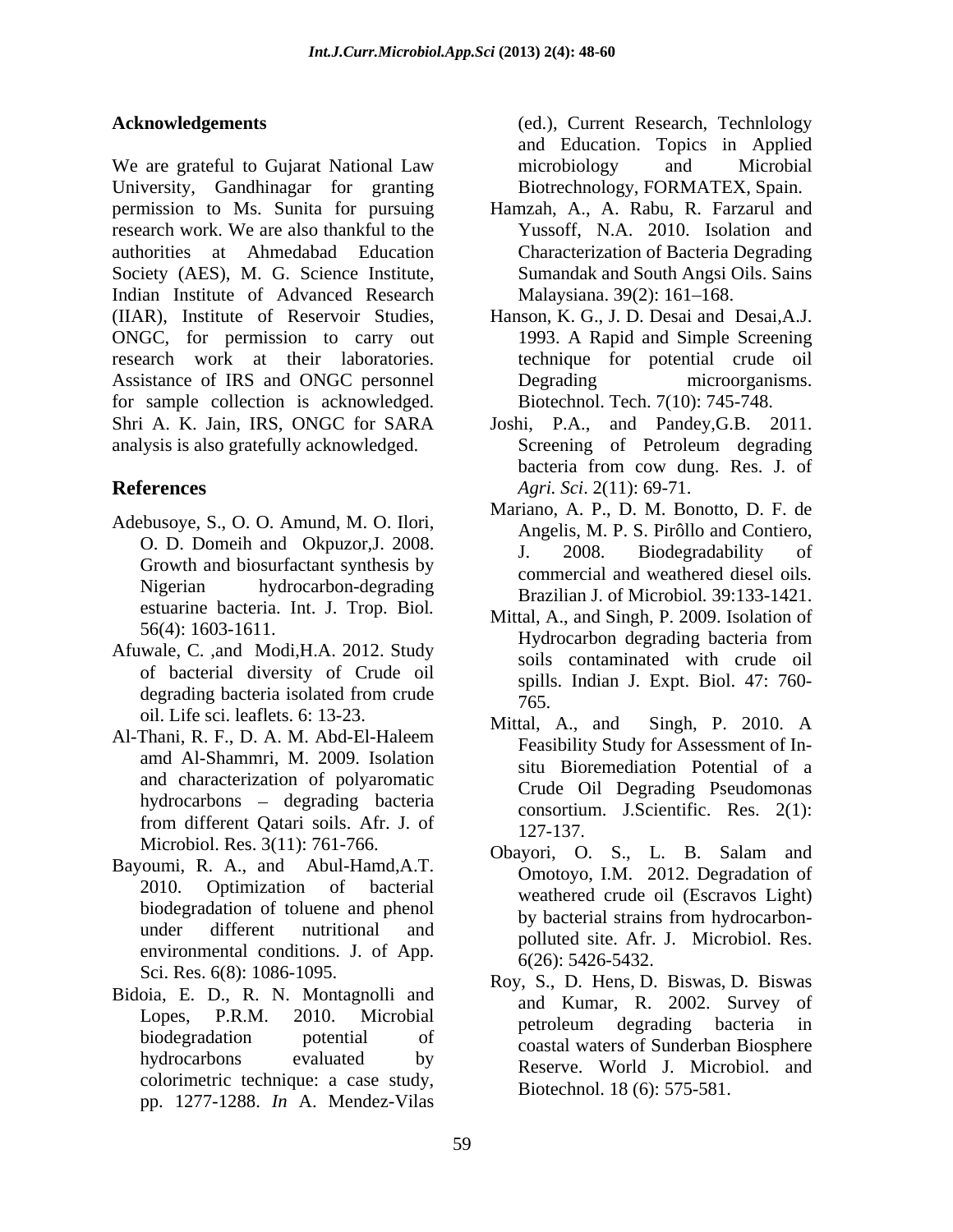We are grateful to Gujarat National Law microbiology and Microbial University, Gandhinagar for granting permission to Ms. Sunita for pursuing Hamzah, A., A.Rabu, R. Farzarul and research work. We are also thankful to the authorities at Ahmedabad Education Society (AES), M. G. Science Institute, Indian Institute of Advanced Research Malaysiana 39(2): 161–168. (IIAR), Institute of Reservoir Studies, Hanson, K. G., J. D. Desai and Desai,A.J. ONGC, for permission to carry out research work at their laboratories. technique for potential crude oil<br>Assistance of IRS and ONGC personnel Degrading microorganisms. for sample collection is acknowledged. Shri A. K. Jain, IRS, ONGC for SARA Joshi, P.A., and Pandey,G.B. 2011. analysis is also gratefully acknowledged.

- Adebusoye, S., O. O. Amund, M. O. Ilori, Angelis, M. P. S. Pirôllo and Contiero, Growth and biosurfactant synthesis by estuarine bacteria. Int. J. Trop. Biol*.*
- Afuwale, C. ,and Modi,H.A. 2012. Study of bacterial diversity of Crude oil degrading bacteria isolated from crude<br>oil. Life sci. leaflets. 6: 13-23. Mittal, A., and Singh, P. 2010. A
- Al-Thani, R. F., D. A. M. Abd-El-Haleem amd Al-Shammri, M. 2009. Isolation and characterization of polyaromatic  $hydrocarbons - degrading bacteria$
- Bayoumi, R. A., and Abul-Hamd,A.T.<br>2010. Optimization of bacterial weathered crude oil (Escravos Light) environmental conditions. J. of App.
- Bidoia, E. D., R. N. Montagnolli and colorimetric technique: a case study, pp. 1277-1288. *In* A. Mendez-Vilas

**Acknowledgements** (ed.), Current Research, Technlology and Education. Topics in Applied microbiology and Microbial Biotrechnology, FORMATEX, Spain.

- Yussoff, N.A. 2010. Isolation and Characterization of Bacteria Degrading Sumandak and South Angsi Oils. Sains Malaysiana. 39(2): 161–168.
- 1993. A Rapid and Simple Screening technique for potential crude oil Degrading microorganisms. Biotechnol. Tech. 7(10): 745-748.
- **References** *Agri. Sci*. 2(11): 69-71. Screening of Petroleum degrading bacteria from cow dung. Res. J. of
	- O. D. Domeih and Okpuzor, J. 2008. The angeles, M. 1.1. S. 1 Honorand Contractor, Nigerian hydrocarbon-degrading Brazilian J. of Microbiol*.* 39:133-1421. Mariano, A. P., D. M. Bonotto, D. F. de Angelis, M. P. S. Pirôllo and Contiero,<br>J. 2008. Biodegradability of commercial and weathered diesel oils*.*
	- $56(4)$ : 1603-1611. Hydrocarbon degrading bacteria from degrading bacteria isolated from crude  $\frac{5 \text{ pm}}{765}$ Mittal, A., and Singh, P. 2009. Isolation of Hydrocarbon degrading bacteria from soils contaminated with crude oil spills. Indian J. Expt. Biol. 47: 760- 765.
	- from different Qatari soils. Afr. J. of  $\frac{127}{127}$ Mittal, A., and Singh, P. 2010. A Feasibility Study for Assessment of In situ Bioremediation Potential of a Crude Oil Degrading Pseudomonas consortium. J.Scientific. Res. 2(1): 127-137.
	- Microbiol. Res. 3(11): 761-766.<br>
	Obayori, O. S., L. B. Salam and biodegradation of toluene and phenol by bacterial strains from hydrocarbonunder different nutritional and by successive a stains from hydrocation Omotoyo, I.M. 2012. Degradation of weathered crude oil (Escravos Light) by bacterial strains from hydrocarbon polluted site. Afr. J. Microbiol. Res. 6(26): 5426-5432.
	- Sci. Res. 6(8): 1086-1095.<br>
	Roy, S., D. Hens, D. Biswas, D. Biswas Lopes, P.R.M. 2010. Microbial and namal, it 2002. Barvey of biodegradation potential of performance of the section of the constant of the coastal waters of Sunderban Biosphere hydrocarbons evaluated by Reserve. World J. Microbiol. and and Kumar, R. 2002. Survey of petroleum degrading bacteria in Biotechnol. 18 (6): 575-581.